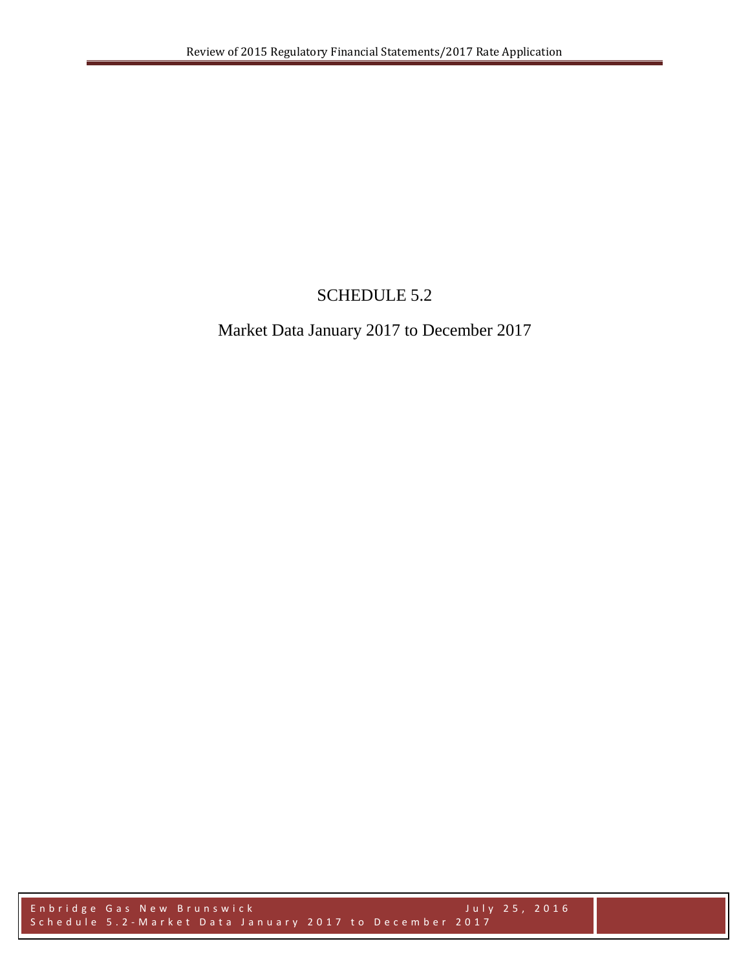## SCHEDULE 5.2

## Market Data January 2017 to December 2017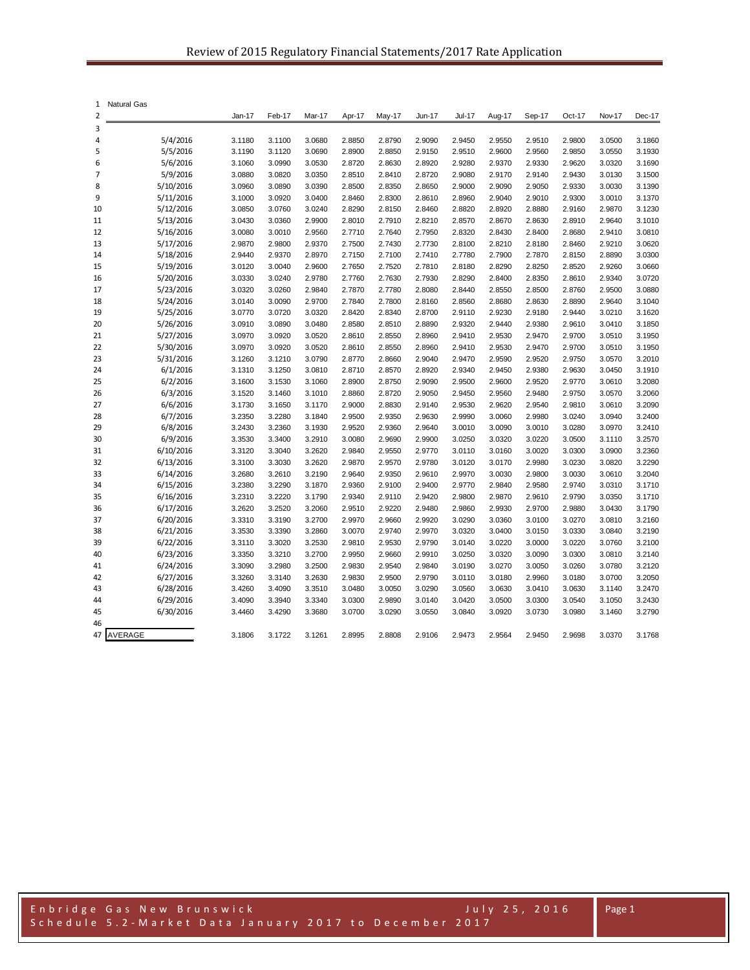| 1              | <b>Natural Gas</b>     |                  |                  |                  |                  |                  |                  |                  |                  |                  |                  |                  |                  |
|----------------|------------------------|------------------|------------------|------------------|------------------|------------------|------------------|------------------|------------------|------------------|------------------|------------------|------------------|
| $\overline{2}$ |                        | Jan-17           | Feb-17           | Mar-17           | Apr-17           | May-17           | <b>Jun-17</b>    | <b>Jul-17</b>    | Aug-17           | Sep-17           | Oct-17           | Nov-17           | Dec-17           |
| 3              |                        |                  |                  |                  |                  |                  |                  |                  |                  |                  |                  |                  |                  |
| 4              | 5/4/2016               | 3.1180           | 3.1100           | 3.0680           | 2.8850           | 2.8790           | 2.9090           | 2.9450           | 2.9550           | 2.9510           | 2.9800           | 3.0500           | 3.1860           |
| 5              | 5/5/2016               | 3.1190           | 3.1120           | 3.0690           | 2.8900           | 2.8850           | 2.9150           | 2.9510           | 2.9600           | 2.9560           | 2.9850           | 3.0550           | 3.1930           |
| 6              | 5/6/2016               | 3.1060           | 3.0990           | 3.0530           | 2.8720           | 2.8630           | 2.8920           | 2.9280           | 2.9370           | 2.9330           | 2.9620           | 3.0320           | 3.1690           |
| 7              | 5/9/2016               | 3.0880           | 3.0820           | 3.0350           | 2.8510           | 2.8410           | 2.8720           | 2.9080           | 2.9170           | 2.9140           | 2.9430           | 3.0130           | 3.1500           |
| 8              | 5/10/2016              | 3.0960           | 3.0890           | 3.0390           | 2.8500           | 2.8350           | 2.8650           | 2.9000           | 2.9090<br>2.9040 | 2.9050           | 2.9330<br>2.9300 | 3.0030           | 3.1390           |
| 9              | 5/11/2016              | 3.1000<br>3.0850 | 3.0920<br>3.0760 | 3.0400<br>3.0240 | 2.8460<br>2.8290 | 2.8300<br>2.8150 | 2.8610<br>2.8460 | 2.8960<br>2.8820 | 2.8920           | 2.9010<br>2.8880 | 2.9160           | 3.0010<br>2.9870 | 3.1370<br>3.1230 |
| 10<br>11       | 5/12/2016<br>5/13/2016 | 3.0430           | 3.0360           | 2.9900           | 2.8010           | 2.7910           | 2.8210           | 2.8570           | 2.8670           | 2.8630           | 2.8910           | 2.9640           | 3.1010           |
| 12             | 5/16/2016              | 3.0080           | 3.0010           | 2.9560           | 2.7710           | 2.7640           | 2.7950           | 2.8320           | 2.8430           | 2.8400           | 2.8680           | 2.9410           | 3.0810           |
| 13             | 5/17/2016              | 2.9870           | 2.9800           | 2.9370           | 2.7500           | 2.7430           | 2.7730           | 2.8100           | 2.8210           | 2.8180           | 2.8460           | 2.9210           | 3.0620           |
| 14             | 5/18/2016              | 2.9440           | 2.9370           | 2.8970           | 2.7150           | 2.7100           | 2.7410           | 2.7780           | 2.7900           | 2.7870           | 2.8150           | 2.8890           | 3.0300           |
| 15             | 5/19/2016              | 3.0120           | 3.0040           | 2.9600           | 2.7650           | 2.7520           | 2.7810           | 2.8180           | 2.8290           | 2.8250           | 2.8520           | 2.9260           | 3.0660           |
| 16             | 5/20/2016              | 3.0330           | 3.0240           | 2.9780           | 2.7760           | 2.7630           | 2.7930           | 2.8290           | 2.8400           | 2.8350           | 2.8610           | 2.9340           | 3.0720           |
| 17             | 5/23/2016              | 3.0320           | 3.0260           | 2.9840           | 2.7870           | 2.7780           | 2.8080           | 2.8440           | 2.8550           | 2.8500           | 2.8760           | 2.9500           | 3.0880           |
| 18             | 5/24/2016              | 3.0140           | 3.0090           | 2.9700           | 2.7840           | 2.7800           | 2.8160           | 2.8560           | 2.8680           | 2.8630           | 2.8890           | 2.9640           | 3.1040           |
| 19             | 5/25/2016              | 3.0770           | 3.0720           | 3.0320           | 2.8420           | 2.8340           | 2.8700           | 2.9110           | 2.9230           | 2.9180           | 2.9440           | 3.0210           | 3.1620           |
| 20             | 5/26/2016              | 3.0910           | 3.0890           | 3.0480           | 2.8580           | 2.8510           | 2.8890           | 2.9320           | 2.9440           | 2.9380           | 2.9610           | 3.0410           | 3.1850           |
| 21             | 5/27/2016              | 3.0970           | 3.0920           | 3.0520           | 2.8610           | 2.8550           | 2.8960           | 2.9410           | 2.9530           | 2.9470           | 2.9700           | 3.0510           | 3.1950           |
| 22             | 5/30/2016              | 3.0970           | 3.0920           | 3.0520           | 2.8610           | 2.8550           | 2.8960           | 2.9410           | 2.9530           | 2.9470           | 2.9700           | 3.0510           | 3.1950           |
| 23             | 5/31/2016              | 3.1260           | 3.1210           | 3.0790           | 2.8770           | 2.8660           | 2.9040           | 2.9470           | 2.9590           | 2.9520           | 2.9750           | 3.0570           | 3.2010           |
| 24             | 6/1/2016               | 3.1310           | 3.1250           | 3.0810           | 2.8710           | 2.8570           | 2.8920           | 2.9340           | 2.9450           | 2.9380           | 2.9630           | 3.0450           | 3.1910           |
| 25             | 6/2/2016               | 3.1600           | 3.1530           | 3.1060           | 2.8900           | 2.8750           | 2.9090           | 2.9500           | 2.9600           | 2.9520           | 2.9770           | 3.0610           | 3.2080           |
| 26             | 6/3/2016               | 3.1520           | 3.1460           | 3.1010           | 2.8860           | 2.8720           | 2.9050           | 2.9450           | 2.9560           | 2.9480           | 2.9750           | 3.0570           | 3.2060           |
| 27             | 6/6/2016               | 3.1730           | 3.1650           | 3.1170           | 2.9000           | 2.8830           | 2.9140           | 2.9530           | 2.9620           | 2.9540           | 2.9810           | 3.0610           | 3.2090           |
| 28             | 6/7/2016               | 3.2350           | 3.2280           | 3.1840           | 2.9500           | 2.9350           | 2.9630           | 2.9990           | 3.0060           | 2.9980           | 3.0240           | 3.0940           | 3.2400           |
| 29             | 6/8/2016               | 3.2430           | 3.2360           | 3.1930           | 2.9520           | 2.9360           | 2.9640           | 3.0010           | 3.0090           | 3.0010           | 3.0280           | 3.0970           | 3.2410           |
| 30             | 6/9/2016               | 3.3530           | 3.3400           | 3.2910           | 3.0080           | 2.9690           | 2.9900           | 3.0250           | 3.0320           | 3.0220           | 3.0500           | 3.1110           | 3.2570           |
| 31<br>32       | 6/10/2016<br>6/13/2016 | 3.3120<br>3.3100 | 3.3040<br>3.3030 | 3.2620<br>3.2620 | 2.9840<br>2.9870 | 2.9550<br>2.9570 | 2.9770<br>2.9780 | 3.0110<br>3.0120 | 3.0160<br>3.0170 | 3.0020<br>2.9980 | 3.0300<br>3.0230 | 3.0900<br>3.0820 | 3.2360<br>3.2290 |
| 33             | 6/14/2016              | 3.2680           | 3.2610           | 3.2190           | 2.9640           | 2.9350           | 2.9610           | 2.9970           | 3.0030           | 2.9800           | 3.0030           | 3.0610           | 3.2040           |
| 34             | 6/15/2016              | 3.2380           | 3.2290           | 3.1870           | 2.9360           | 2.9100           | 2.9400           | 2.9770           | 2.9840           | 2.9580           | 2.9740           | 3.0310           | 3.1710           |
| 35             | 6/16/2016              | 3.2310           | 3.2220           | 3.1790           | 2.9340           | 2.9110           | 2.9420           | 2.9800           | 2.9870           | 2.9610           | 2.9790           | 3.0350           | 3.1710           |
| 36             | 6/17/2016              | 3.2620           | 3.2520           | 3.2060           | 2.9510           | 2.9220           | 2.9480           | 2.9860           | 2.9930           | 2.9700           | 2.9880           | 3.0430           | 3.1790           |
| 37             | 6/20/2016              | 3.3310           | 3.3190           | 3.2700           | 2.9970           | 2.9660           | 2.9920           | 3.0290           | 3.0360           | 3.0100           | 3.0270           | 3.0810           | 3.2160           |
| 38             | 6/21/2016              | 3.3530           | 3.3390           | 3.2860           | 3.0070           | 2.9740           | 2.9970           | 3.0320           | 3.0400           | 3.0150           | 3.0330           | 3.0840           | 3.2190           |
| 39             | 6/22/2016              | 3.3110           | 3.3020           | 3.2530           | 2.9810           | 2.9530           | 2.9790           | 3.0140           | 3.0220           | 3.0000           | 3.0220           | 3.0760           | 3.2100           |
| 40             | 6/23/2016              | 3.3350           | 3.3210           | 3.2700           | 2.9950           | 2.9660           | 2.9910           | 3.0250           | 3.0320           | 3.0090           | 3.0300           | 3.0810           | 3.2140           |
| 41             | 6/24/2016              | 3.3090           | 3.2980           | 3.2500           | 2.9830           | 2.9540           | 2.9840           | 3.0190           | 3.0270           | 3.0050           | 3.0260           | 3.0780           | 3.2120           |
| 42             | 6/27/2016              | 3.3260           | 3.3140           | 3.2630           | 2.9830           | 2.9500           | 2.9790           | 3.0110           | 3.0180           | 2.9960           | 3.0180           | 3.0700           | 3.2050           |
| 43             | 6/28/2016              | 3.4260           | 3.4090           | 3.3510           | 3.0480           | 3.0050           | 3.0290           | 3.0560           | 3.0630           | 3.0410           | 3.0630           | 3.1140           | 3.2470           |
| 44             | 6/29/2016              | 3.4090           | 3.3940           | 3.3340           | 3.0300           | 2.9890           | 3.0140           | 3.0420           | 3.0500           | 3.0300           | 3.0540           | 3.1050           | 3.2430           |
| 45             | 6/30/2016              | 3.4460           | 3.4290           | 3.3680           | 3.0700           | 3.0290           | 3.0550           | 3.0840           | 3.0920           | 3.0730           | 3.0980           | 3.1460           | 3.2790           |
| 46             |                        |                  |                  |                  |                  |                  |                  |                  |                  |                  |                  |                  |                  |
| 47             | AVERAGE                | 3.1806           | 3.1722           | 3.1261           | 2.8995           | 2.8808           | 2.9106           | 2.9473           | 2.9564           | 2.9450           | 2.9698           | 3.0370           | 3.1768           |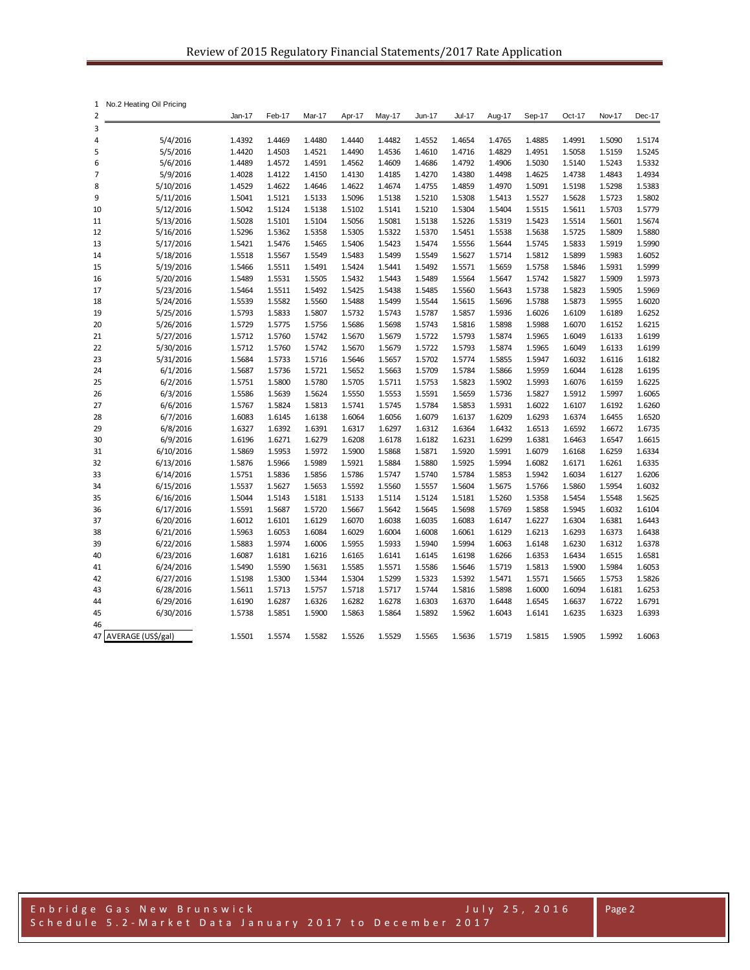| 1              | No.2 Heating Oil Pricing |                  |                  |                  |                  |                  |                  |                  |                  |                  |                  |                  |                  |
|----------------|--------------------------|------------------|------------------|------------------|------------------|------------------|------------------|------------------|------------------|------------------|------------------|------------------|------------------|
| $\overline{2}$ |                          | Jan-17           | Feb-17           | Mar-17           | Apr-17           | May-17           | Jun-17           | <b>Jul-17</b>    | Aug-17           | Sep-17           | Oct-17           | Nov-17           | Dec-17           |
| 3              |                          |                  |                  |                  |                  |                  |                  |                  |                  |                  |                  |                  |                  |
| 4              | 5/4/2016                 | 1.4392           | 1.4469           | 1.4480           | 1.4440           | 1.4482           | 1.4552           | 1.4654           | 1.4765           | 1.4885           | 1.4991           | 1.5090           | 1.5174           |
| 5              | 5/5/2016                 | 1.4420           | 1.4503           | 1.4521           | 1.4490           | 1.4536           | 1.4610           | 1.4716           | 1.4829           | 1.4951           | 1.5058           | 1.5159           | 1.5245           |
| 6              | 5/6/2016                 | 1.4489           | 1.4572           | 1.4591           | 1.4562           | 1.4609           | 1.4686           | 1.4792           | 1.4906           | 1.5030           | 1.5140           | 1.5243           | 1.5332           |
| 7              | 5/9/2016                 | 1.4028           | 1.4122           | 1.4150           | 1.4130           | 1.4185           | 1.4270           | 1.4380           | 1.4498           | 1.4625           | 1.4738           | 1.4843           | 1.4934           |
| 8              | 5/10/2016                | 1.4529           | 1.4622           | 1.4646           | 1.4622           | 1.4674           | 1.4755           | 1.4859           | 1.4970           | 1.5091           | 1.5198           | 1.5298           | 1.5383           |
| 9              | 5/11/2016                | 1.5041           | 1.5121           | 1.5133           | 1.5096           | 1.5138           | 1.5210           | 1.5308           | 1.5413           | 1.5527           | 1.5628           | 1.5723           | 1.5802           |
| 10             | 5/12/2016                | 1.5042           | 1.5124           | 1.5138           | 1.5102           | 1.5141           | 1.5210           | 1.5304           | 1.5404           | 1.5515           | 1.5611           | 1.5703           | 1.5779           |
| 11             | 5/13/2016                | 1.5028           | 1.5101           | 1.5104           | 1.5056           | 1.5081           | 1.5138           | 1.5226           | 1.5319           | 1.5423           | 1.5514           | 1.5601           | 1.5674           |
| 12             | 5/16/2016                | 1.5296<br>1.5421 | 1.5362           | 1.5358           | 1.5305           | 1.5322           | 1.5370           | 1.5451           | 1.5538           | 1.5638           | 1.5725           | 1.5809           | 1.5880           |
| 13             | 5/17/2016                |                  | 1.5476           | 1.5465           | 1.5406<br>1.5483 | 1.5423<br>1.5499 | 1.5474           | 1.5556           | 1.5644           | 1.5745           | 1.5833           | 1.5919<br>1.5983 | 1.5990<br>1.6052 |
| 14<br>15       | 5/18/2016<br>5/19/2016   | 1.5518<br>1.5466 | 1.5567<br>1.5511 | 1.5549<br>1.5491 | 1.5424           | 1.5441           | 1.5549<br>1.5492 | 1.5627<br>1.5571 | 1.5714<br>1.5659 | 1.5812<br>1.5758 | 1.5899<br>1.5846 | 1.5931           | 1.5999           |
| 16             | 5/20/2016                | 1.5489           | 1.5531           | 1.5505           | 1.5432           | 1.5443           | 1.5489           | 1.5564           | 1.5647           | 1.5742           | 1.5827           | 1.5909           | 1.5973           |
| 17             | 5/23/2016                | 1.5464           | 1.5511           | 1.5492           | 1.5425           | 1.5438           | 1.5485           | 1.5560           | 1.5643           | 1.5738           | 1.5823           | 1.5905           | 1.5969           |
| 18             | 5/24/2016                | 1.5539           | 1.5582           | 1.5560           | 1.5488           | 1.5499           | 1.5544           | 1.5615           | 1.5696           | 1.5788           | 1.5873           | 1.5955           | 1.6020           |
| 19             | 5/25/2016                | 1.5793           | 1.5833           | 1.5807           | 1.5732           | 1.5743           | 1.5787           | 1.5857           | 1.5936           | 1.6026           | 1.6109           | 1.6189           | 1.6252           |
| 20             | 5/26/2016                | 1.5729           | 1.5775           | 1.5756           | 1.5686           | 1.5698           | 1.5743           | 1.5816           | 1.5898           | 1.5988           | 1.6070           | 1.6152           | 1.6215           |
| 21             | 5/27/2016                | 1.5712           | 1.5760           | 1.5742           | 1.5670           | 1.5679           | 1.5722           | 1.5793           | 1.5874           | 1.5965           | 1.6049           | 1.6133           | 1.6199           |
| 22             | 5/30/2016                | 1.5712           | 1.5760           | 1.5742           | 1.5670           | 1.5679           | 1.5722           | 1.5793           | 1.5874           | 1.5965           | 1.6049           | 1.6133           | 1.6199           |
| 23             | 5/31/2016                | 1.5684           | 1.5733           | 1.5716           | 1.5646           | 1.5657           | 1.5702           | 1.5774           | 1.5855           | 1.5947           | 1.6032           | 1.6116           | 1.6182           |
| 24             | 6/1/2016                 | 1.5687           | 1.5736           | 1.5721           | 1.5652           | 1.5663           | 1.5709           | 1.5784           | 1.5866           | 1.5959           | 1.6044           | 1.6128           | 1.6195           |
| 25             | 6/2/2016                 | 1.5751           | 1.5800           | 1.5780           | 1.5705           | 1.5711           | 1.5753           | 1.5823           | 1.5902           | 1.5993           | 1.6076           | 1.6159           | 1.6225           |
| 26             | 6/3/2016                 | 1.5586           | 1.5639           | 1.5624           | 1.5550           | 1.5553           | 1.5591           | 1.5659           | 1.5736           | 1.5827           | 1.5912           | 1.5997           | 1.6065           |
| 27             | 6/6/2016                 | 1.5767           | 1.5824           | 1.5813           | 1.5741           | 1.5745           | 1.5784           | 1.5853           | 1.5931           | 1.6022           | 1.6107           | 1.6192           | 1.6260           |
| 28             | 6/7/2016                 | 1.6083           | 1.6145           | 1.6138           | 1.6064           | 1.6056           | 1.6079           | 1.6137           | 1.6209           | 1.6293           | 1.6374           | 1.6455           | 1.6520           |
| 29             | 6/8/2016                 | 1.6327           | 1.6392           | 1.6391           | 1.6317           | 1.6297           | 1.6312           | 1.6364           | 1.6432           | 1.6513           | 1.6592           | 1.6672           | 1.6735           |
| 30             | 6/9/2016                 | 1.6196           | 1.6271           | 1.6279           | 1.6208           | 1.6178           | 1.6182           | 1.6231           | 1.6299           | 1.6381           | 1.6463           | 1.6547           | 1.6615           |
| 31             | 6/10/2016                | 1.5869           | 1.5953           | 1.5972           | 1.5900           | 1.5868           | 1.5871           | 1.5920           | 1.5991           | 1.6079           | 1.6168           | 1.6259           | 1.6334           |
| 32             | 6/13/2016                | 1.5876           | 1.5966           | 1.5989           | 1.5921           | 1.5884           | 1.5880           | 1.5925           | 1.5994           | 1.6082           | 1.6171           | 1.6261           | 1.6335           |
| 33             | 6/14/2016                | 1.5751           | 1.5836           | 1.5856           | 1.5786           | 1.5747           | 1.5740           | 1.5784           | 1.5853           | 1.5942           | 1.6034           | 1.6127           | 1.6206           |
| 34             | 6/15/2016                | 1.5537           | 1.5627           | 1.5653           | 1.5592           | 1.5560           | 1.5557           | 1.5604           | 1.5675           | 1.5766           | 1.5860           | 1.5954           | 1.6032           |
| 35             | 6/16/2016                | 1.5044           | 1.5143           | 1.5181           | 1.5133           | 1.5114           | 1.5124           | 1.5181           | 1.5260           | 1.5358           | 1.5454           | 1.5548           | 1.5625           |
| 36             | 6/17/2016                | 1.5591           | 1.5687           | 1.5720           | 1.5667           | 1.5642           | 1.5645           | 1.5698           | 1.5769           | 1.5858           | 1.5945           | 1.6032           | 1.6104           |
| 37             | 6/20/2016                | 1.6012           | 1.6101           | 1.6129           | 1.6070           | 1.6038           | 1.6035           | 1.6083           | 1.6147           | 1.6227           | 1.6304           | 1.6381           | 1.6443           |
| 38             | 6/21/2016                | 1.5963           | 1.6053           | 1.6084           | 1.6029           | 1.6004           | 1.6008           | 1.6061           | 1.6129           | 1.6213           | 1.6293           | 1.6373           | 1.6438           |
| 39             | 6/22/2016                | 1.5883           | 1.5974           | 1.6006           | 1.5955           | 1.5933           | 1.5940           | 1.5994           | 1.6063           | 1.6148           | 1.6230           | 1.6312           | 1.6378           |
| 40             | 6/23/2016                | 1.6087           | 1.6181           | 1.6216           | 1.6165           | 1.6141           | 1.6145           | 1.6198           | 1.6266           | 1.6353           | 1.6434           | 1.6515           | 1.6581           |
| 41<br>42       | 6/24/2016<br>6/27/2016   | 1.5490<br>1.5198 | 1.5590<br>1.5300 | 1.5631<br>1.5344 | 1.5585<br>1.5304 | 1.5571<br>1.5299 | 1.5586<br>1.5323 | 1.5646           | 1.5719<br>1.5471 | 1.5813<br>1.5571 | 1.5900<br>1.5665 | 1.5984<br>1.5753 | 1.6053<br>1.5826 |
| 43             | 6/28/2016                | 1.5611           | 1.5713           | 1.5757           | 1.5718           | 1.5717           | 1.5744           | 1.5392<br>1.5816 | 1.5898           | 1.6000           | 1.6094           | 1.6181           | 1.6253           |
| 44             | 6/29/2016                | 1.6190           | 1.6287           | 1.6326           | 1.6282           | 1.6278           | 1.6303           | 1.6370           | 1.6448           | 1.6545           | 1.6637           | 1.6722           | 1.6791           |
| 45             | 6/30/2016                | 1.5738           | 1.5851           | 1.5900           | 1.5863           | 1.5864           | 1.5892           | 1.5962           | 1.6043           | 1.6141           | 1.6235           | 1.6323           | 1.6393           |
| 46             |                          |                  |                  |                  |                  |                  |                  |                  |                  |                  |                  |                  |                  |
|                | 47 AVERAGE (US\$/gal)    | 1.5501           | 1.5574           | 1.5582           | 1.5526           | 1.5529           | 1.5565           | 1.5636           | 1.5719           | 1.5815           | 1.5905           | 1.5992           | 1.6063           |